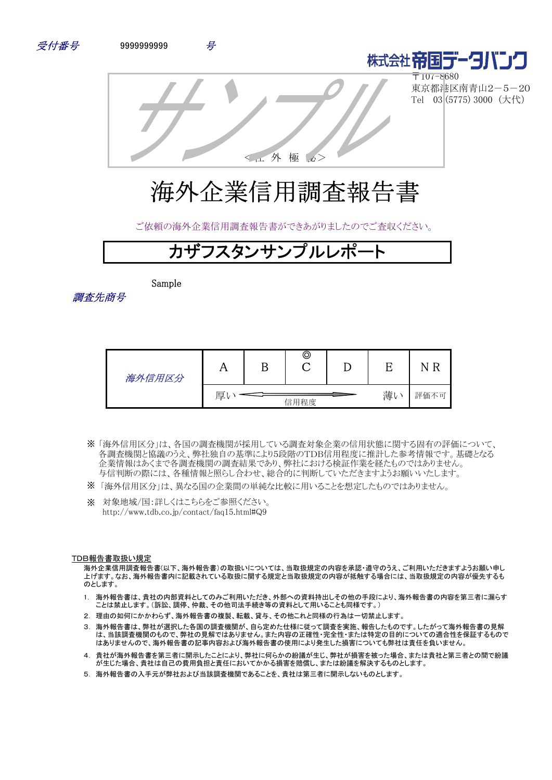



〒107-8680 東京都港区南青山2-5-20 Tel 03 (5775) 3000 (大代)

<社 外 極 秘>

# 海外企業信用調査報告書

ご依頼の海外企業信用調査報告書ができあがりましたのでご査収ください。

## カザフスタンサンプルレポ

Sample

調査先商号

| 海外信用区分 | 77              |  | © |  |  |      |
|--------|-----------------|--|---|--|--|------|
|        | 薄い<br>厚<br>信用程度 |  |   |  |  | 評価不可 |

- 「海外信用区分」は、各国の調査機関が採用している調査対象企業の信用状態に関する固有の評価について、 ※ 各調査機関と協議のうえ、弊社独自の基準により5段階のTDB信用程度に推計した参考情報です。基礎となる 企業情報はあくまで各調査機関の調査結果であり、弊社における検証作業を経たものではありません。 与信判断の際には、各種情報と照らし合わせ、総合的に判断していただきますようお願いいたします。
- ※ 「海外信用区分」は、異なる国の企業間の単純な比較に用いることを想定したものではありません。
- ※ 対象地域/国:詳しくはこちらをご参照ください。 http://www.tdb.co.jp/contact/faq15.html#Q9

#### TDB報告書取扱い規定

海外企業信用調査報告書(以下、海外報告書)の取扱いについては、当取扱規定の内容を承認・遵守のうえ、ご利用いただきますようお願い申し 上げます。なお、海外報告書内に記載されている取扱に関する規定と当取扱規定の内容が抵触する場合には、当取扱規定の内容が優先するも のとします。

- 1. 海外報告書は、貴社の内部資料としてのみご利用いただき、外部への資料持出しその他の手段により、海外報告書の内容を第三者に漏らす ことは禁止します。(訴訟、調停、仲裁、その他司法手続き等の資料として用いることも同様です。)
- 2. 理由の如何にかかわらず、海外報告書の複製、転載、貸与、その他これと同様の行為は一切禁止します。
- 3. 海外報告書は、弊社が選択した各国の調査機関が、自ら定めた仕様に従って調査を実施、報告したものです。したがって海外報告書の見解 は、当該調査機関のもので、弊社の見解ではありません。また内容の正確性・完全性・または特定の目的についての適合性を保証するもので はありませんので、海外報告書の記事内容および海外報告書の使用により発生した損害についても弊社は責任を負いません。
- 4. 貴社が海外報告書を第三者に開示したことにより、弊社に何らかの紛議が生じ、弊社が損害を被った場合、または貴社と第三者との間で紛議 が生じた場合、貴社は自己の費用負担と責任においてかかる損害を賠償し、または紛議を解決するものとします。
- 5. 海外報告書の入手元が弊社および当該調査機関であることを、貴社は第三者に開示しないものとします。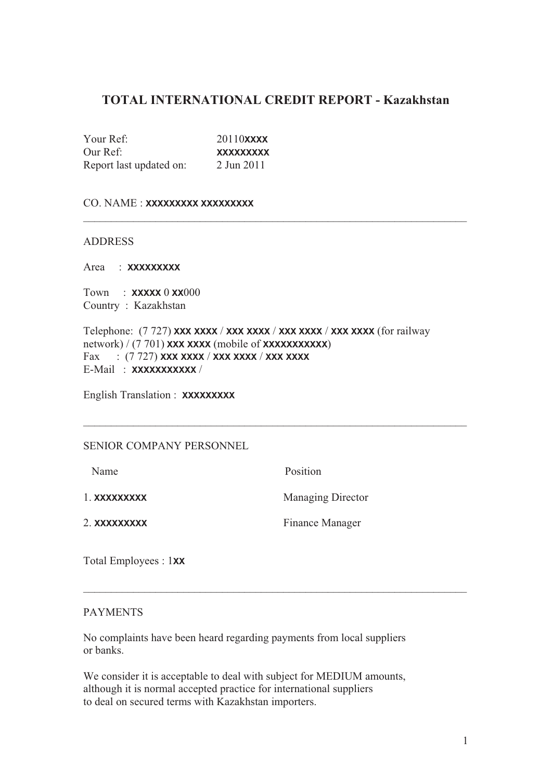#### **TOTAL INTERNATIONAL CREDIT REPORT - Kazakhstan**

\_\_\_\_\_\_\_\_\_\_\_\_\_\_\_\_\_\_\_\_\_\_\_\_\_\_\_\_\_\_\_\_\_\_\_\_\_\_\_\_\_\_\_\_\_\_\_\_\_\_\_\_\_\_\_\_\_\_\_\_\_\_\_\_\_\_\_\_\_

Your Ref: 20110**XXXX** Our Ref: **XXXXXXXXX** Report last updated on: 2 Jun 2011

#### CO. NAME : **XXXXXXXXX XXXXXXXXX**

#### ADDRESS

Area : **XXXXXXXXX**

Town : **XXXXX** 0 **XX**000 Country : Kazakhstan

Telephone: (7 727) **XXX XXXX** / **XXX XXXX** / **XXX XXXX** / **XXX XXXX** (for railway network) / (7 701) **XXX XXXX** (mobile of **XXXXXXXXXXX**) Fax : (7 727) **XXX XXXX** / **XXX XXXX** / **XXX XXXX** E-Mail : **XXXXXXXXXXX** /

English Translation : **XXXXXXXXX**

#### SENIOR COMPANY PERSONNEL

Name Position

1. **XXXXXXXXX** Managing Director

2. **XXXXXXXXX** Finance Manager

Total Employees : 1**XX**

#### PAYMENTS

No complaints have been heard regarding payments from local suppliers or banks.

 $\_$  , and the set of the set of the set of the set of the set of the set of the set of the set of the set of the set of the set of the set of the set of the set of the set of the set of the set of the set of the set of th

We consider it is acceptable to deal with subject for MEDIUM amounts, although it is normal accepted practice for international suppliers to deal on secured terms with Kazakhstan importers.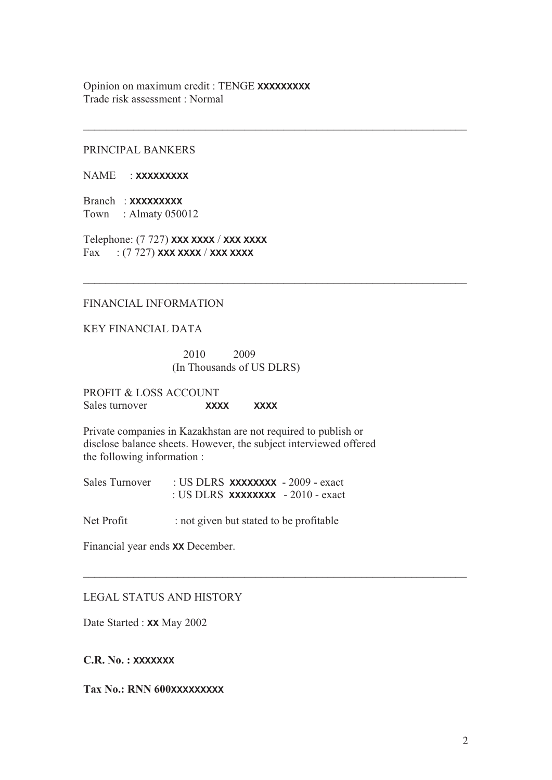Opinion on maximum credit : TENGE **XXXXXXXXX** Trade risk assessment : Normal

 $\_$  , and the set of the set of the set of the set of the set of the set of the set of the set of the set of the set of the set of the set of the set of the set of the set of the set of the set of the set of the set of th

 $\_$  , and the set of the set of the set of the set of the set of the set of the set of the set of the set of the set of the set of the set of the set of the set of the set of the set of the set of the set of the set of th

 $\_$  , and the set of the set of the set of the set of the set of the set of the set of the set of the set of the set of the set of the set of the set of the set of the set of the set of the set of the set of the set of th

#### PRINCIPAL BANKERS

NAME : **XXXXXXXXX**

Branch : **XXXXXXXXX** Town : Almaty 050012

Telephone: (7 727) **XXX XXXX** / **XXX XXXX** Fax : (7 727) **XXX XXXX** / **XXX XXXX**

#### FINANCIAL INFORMATION

KEY FINANCIAL DATA

 2010 2009 (In Thousands of US DLRS)

PROFIT & LOSS ACCOUNT Sales turnover **XXXX XXXX** 

Private companies in Kazakhstan are not required to publish or disclose balance sheets. However, the subject interviewed offered the following information :

Sales Turnover : US DLRS **XXXXXXXX** - 2009 - exact : US DLRS **XXXXXXXX** - 2010 - exact

Net Profit : not given but stated to be profitable

Financial year ends **XX** December.

#### LEGAL STATUS AND HISTORY

Date Started : **XX** May 2002

**C.R. No. : XXXXXXX**

**Tax No.: RNN 600XXXXXXXXX**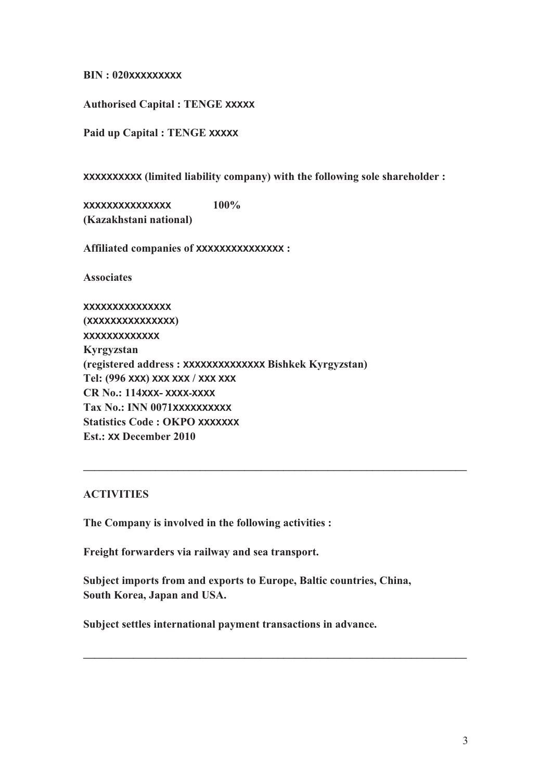**BIN : 020XXXXXXXXX**

**Authorised Capital : TENGE XXXXX**

**Paid up Capital : TENGE XXXXX**

**XXXXXXXXXX (limited liability company) with the following sole shareholder :** 

**XXXXXXXXXXXXXXX 100% (Kazakhstani national)** 

**Affiliated companies of XXXXXXXXXXXXXXX :** 

**Associates** 

**XXXXXXXXXXXXXXX (XXXXXXXXXXXXXXX) XXXXXXXXXXXXX Kyrgyzstan (registered address : XXXXXXXXXXXXXX Bishkek Kyrgyzstan) Tel: (996 XXX) XXX XXX / XXX XXX CR No.: 114XXX- XXXX-XXXX Tax No.: INN 0071XXXXXXXXXX Statistics Code : OKPO XXXXXXX Est.: XX December 2010** 

#### **ACTIVITIES**

**The Company is involved in the following activities :** 

**Freight forwarders via railway and sea transport.** 

**Subject imports from and exports to Europe, Baltic countries, China, South Korea, Japan and USA.** 

**\_\_\_\_\_\_\_\_\_\_\_\_\_\_\_\_\_\_\_\_\_\_\_\_\_\_\_\_\_\_\_\_\_\_\_\_\_\_\_\_\_\_\_\_\_\_\_\_\_\_\_\_\_\_\_\_\_\_\_\_\_\_\_\_\_\_\_\_\_**

**\_\_\_\_\_\_\_\_\_\_\_\_\_\_\_\_\_\_\_\_\_\_\_\_\_\_\_\_\_\_\_\_\_\_\_\_\_\_\_\_\_\_\_\_\_\_\_\_\_\_\_\_\_\_\_\_\_\_\_\_\_\_\_\_\_\_\_\_\_**

**Subject settles international payment transactions in advance.**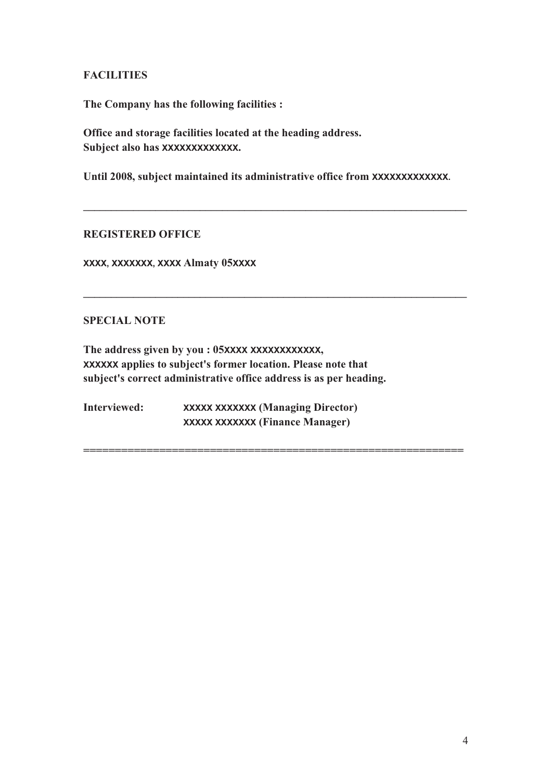#### **FACILITIES**

**The Company has the following facilities :** 

**Office and storage facilities located at the heading address. Subject also has XXXXXXXXXXXXX.**

Until 2008, subject maintained its administrative office from **XXXXXXXXXXXXX**.

**\_\_\_\_\_\_\_\_\_\_\_\_\_\_\_\_\_\_\_\_\_\_\_\_\_\_\_\_\_\_\_\_\_\_\_\_\_\_\_\_\_\_\_\_\_\_\_\_\_\_\_\_\_\_\_\_\_\_\_\_\_\_\_\_\_\_\_\_\_**

**\_\_\_\_\_\_\_\_\_\_\_\_\_\_\_\_\_\_\_\_\_\_\_\_\_\_\_\_\_\_\_\_\_\_\_\_\_\_\_\_\_\_\_\_\_\_\_\_\_\_\_\_\_\_\_\_\_\_\_\_\_\_\_\_\_\_\_\_\_**

**============================================================**

#### **REGISTERED OFFICE**

**XXXX, XXXXXXX, XXXX Almaty 05XXXX**

#### **SPECIAL NOTE**

**The address given by you : 05XXXX XXXXXXXXXXXX, XXXXXX applies to subject's former location. Please note that subject's correct administrative office address is as per heading.** 

**Interviewed: XXXXX XXXXXXX (Managing Director) XXXXX XXXXXXX (Finance Manager)**